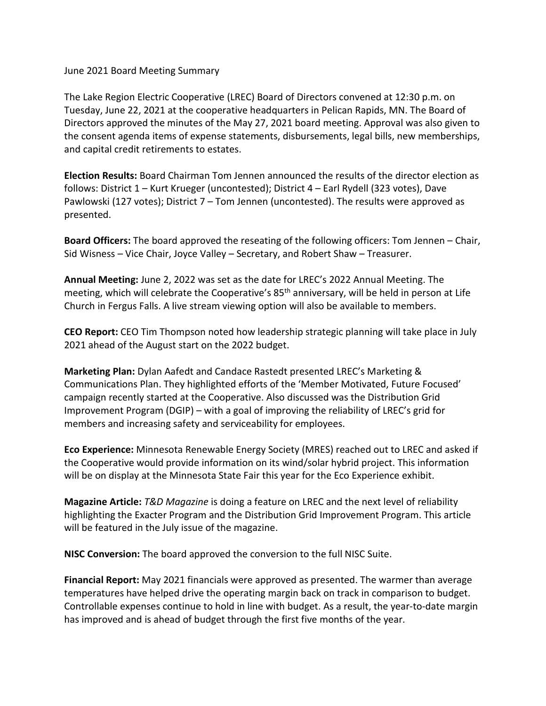## June 2021 Board Meeting Summary

The Lake Region Electric Cooperative (LREC) Board of Directors convened at 12:30 p.m. on Tuesday, June 22, 2021 at the cooperative headquarters in Pelican Rapids, MN. The Board of Directors approved the minutes of the May 27, 2021 board meeting. Approval was also given to the consent agenda items of expense statements, disbursements, legal bills, new memberships, and capital credit retirements to estates.

**Election Results:** Board Chairman Tom Jennen announced the results of the director election as follows: District 1 – Kurt Krueger (uncontested); District 4 – Earl Rydell (323 votes), Dave Pawlowski (127 votes); District 7 – Tom Jennen (uncontested). The results were approved as presented.

**Board Officers:** The board approved the reseating of the following officers: Tom Jennen – Chair, Sid Wisness – Vice Chair, Joyce Valley – Secretary, and Robert Shaw – Treasurer.

**Annual Meeting:** June 2, 2022 was set as the date for LREC's 2022 Annual Meeting. The meeting, which will celebrate the Cooperative's 85<sup>th</sup> anniversary, will be held in person at Life Church in Fergus Falls. A live stream viewing option will also be available to members.

**CEO Report:** CEO Tim Thompson noted how leadership strategic planning will take place in July 2021 ahead of the August start on the 2022 budget.

**Marketing Plan:** Dylan Aafedt and Candace Rastedt presented LREC's Marketing & Communications Plan. They highlighted efforts of the 'Member Motivated, Future Focused' campaign recently started at the Cooperative. Also discussed was the Distribution Grid Improvement Program (DGIP) – with a goal of improving the reliability of LREC's grid for members and increasing safety and serviceability for employees.

**Eco Experience:** Minnesota Renewable Energy Society (MRES) reached out to LREC and asked if the Cooperative would provide information on its wind/solar hybrid project. This information will be on display at the Minnesota State Fair this year for the Eco Experience exhibit.

**Magazine Article:** *T&D Magazine* is doing a feature on LREC and the next level of reliability highlighting the Exacter Program and the Distribution Grid Improvement Program. This article will be featured in the July issue of the magazine.

**NISC Conversion:** The board approved the conversion to the full NISC Suite.

**Financial Report:** May 2021 financials were approved as presented. The warmer than average temperatures have helped drive the operating margin back on track in comparison to budget. Controllable expenses continue to hold in line with budget. As a result, the year-to-date margin has improved and is ahead of budget through the first five months of the year.